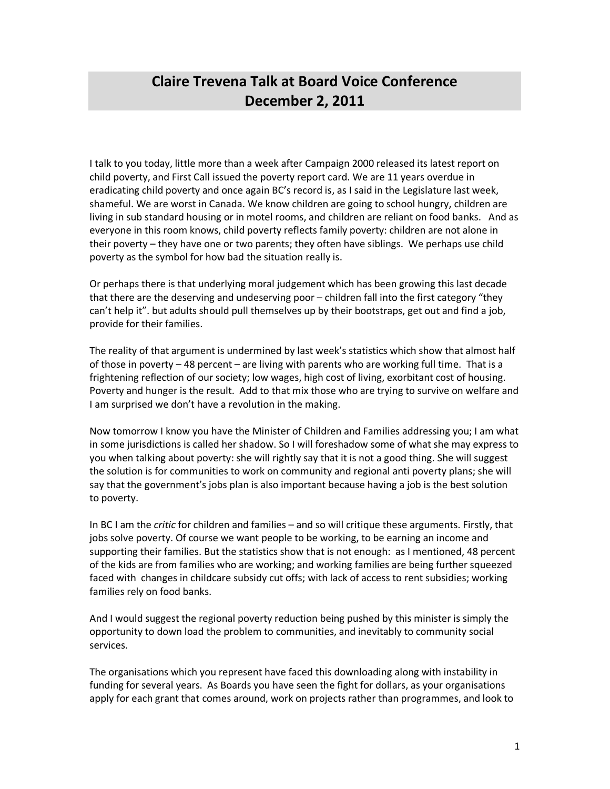## **Claire Trevena Talk at Board Voice Conference December 2, 2011**

I talk to you today, little more than a week after Campaign 2000 released its latest report on child poverty, and First Call issued the poverty report card. We are 11 years overdue in eradicating child poverty and once again BC's record is, as I said in the Legislature last week, shameful. We are worst in Canada. We know children are going to school hungry, children are living in sub standard housing or in motel rooms, and children are reliant on food banks. And as everyone in this room knows, child poverty reflects family poverty: children are not alone in their poverty – they have one or two parents; they often have siblings. We perhaps use child poverty as the symbol for how bad the situation really is.

Or perhaps there is that underlying moral judgement which has been growing this last decade that there are the deserving and undeserving poor – children fall into the first category "they can't help it". but adults should pull themselves up by their bootstraps, get out and find a job, provide for their families.

The reality of that argument is undermined by last week's statistics which show that almost half of those in poverty – 48 percent – are living with parents who are working full time. That is a frightening reflection of our society; low wages, high cost of living, exorbitant cost of housing. Poverty and hunger is the result. Add to that mix those who are trying to survive on welfare and I am surprised we don't have a revolution in the making.

Now tomorrow I know you have the Minister of Children and Families addressing you; I am what in some jurisdictions is called her shadow. So I will foreshadow some of what she may express to you when talking about poverty: she will rightly say that it is not a good thing. She will suggest the solution is for communities to work on community and regional anti poverty plans; she will say that the government's jobs plan is also important because having a job is the best solution to poverty.

In BC I am the *critic* for children and families – and so will critique these arguments. Firstly, that jobs solve poverty. Of course we want people to be working, to be earning an income and supporting their families. But the statistics show that is not enough: as I mentioned, 48 percent of the kids are from families who are working; and working families are being further squeezed faced with changes in childcare subsidy cut offs; with lack of access to rent subsidies; working families rely on food banks.

And I would suggest the regional poverty reduction being pushed by this minister is simply the opportunity to down load the problem to communities, and inevitably to community social services.

The organisations which you represent have faced this downloading along with instability in funding for several years. As Boards you have seen the fight for dollars, as your organisations apply for each grant that comes around, work on projects rather than programmes, and look to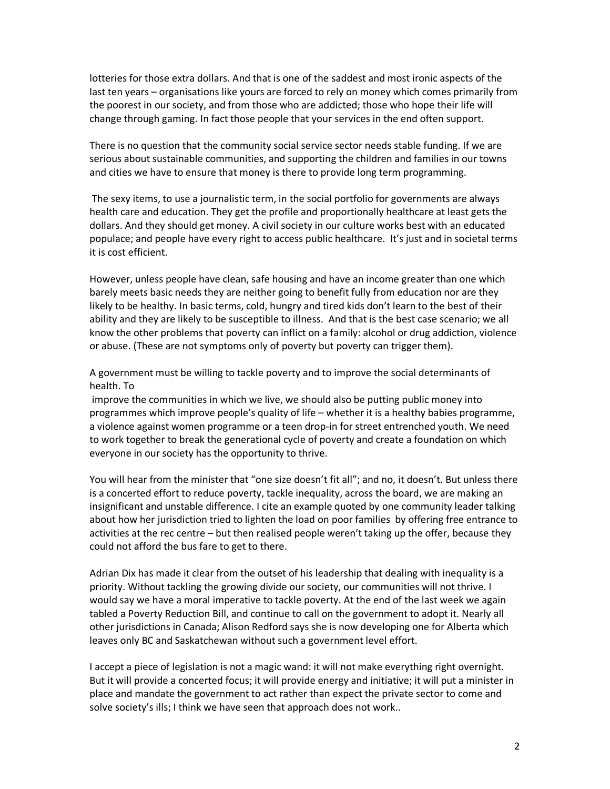lotteries for those extra dollars. And that is one of the saddest and most ironic aspects of the last ten years – organisations like yours are forced to rely on money which comes primarily from the poorest in our society, and from those who are addicted; those who hope their life will change through gaming. In fact those people that your services in the end often support.

There is no question that the community social service sector needs stable funding. If we are serious about sustainable communities, and supporting the children and families in our towns and cities we have to ensure that money is there to provide long term programming.

 The sexy items, to use a journalistic term, in the social portfolio for governments are always health care and education. They get the profile and proportionally healthcare at least gets the dollars. And they should get money. A civil society in our culture works best with an educated populace; and people have every right to access public healthcare. It's just and in societal terms it is cost efficient.

However, unless people have clean, safe housing and have an income greater than one which barely meets basic needs they are neither going to benefit fully from education nor are they likely to be healthy. In basic terms, cold, hungry and tired kids don't learn to the best of their ability and they are likely to be susceptible to illness. And that is the best case scenario; we all know the other problems that poverty can inflict on a family: alcohol or drug addiction, violence or abuse. (These are not symptoms only of poverty but poverty can trigger them).

A government must be willing to tackle poverty and to improve the social determinants of health. To

 improve the communities in which we live, we should also be putting public money into programmes which improve people's quality of life – whether it is a healthy babies programme, a violence against women programme or a teen drop-in for street entrenched youth. We need to work together to break the generational cycle of poverty and create a foundation on which everyone in our society has the opportunity to thrive.

You will hear from the minister that "one size doesn't fit all"; and no, it doesn't. But unless there is a concerted effort to reduce poverty, tackle inequality, across the board, we are making an insignificant and unstable difference. I cite an example quoted by one community leader talking about how her jurisdiction tried to lighten the load on poor families by offering free entrance to activities at the rec centre – but then realised people weren't taking up the offer, because they could not afford the bus fare to get to there.

Adrian Dix has made it clear from the outset of his leadership that dealing with inequality is a priority. Without tackling the growing divide our society, our communities will not thrive. I would say we have a moral imperative to tackle poverty. At the end of the last week we again tabled a Poverty Reduction Bill, and continue to call on the government to adopt it. Nearly all other jurisdictions in Canada; Alison Redford says she is now developing one for Alberta which leaves only BC and Saskatchewan without such a government level effort.

I accept a piece of legislation is not a magic wand: it will not make everything right overnight. But it will provide a concerted focus; it will provide energy and initiative; it will put a minister in place and mandate the government to act rather than expect the private sector to come and solve society's ills; I think we have seen that approach does not work..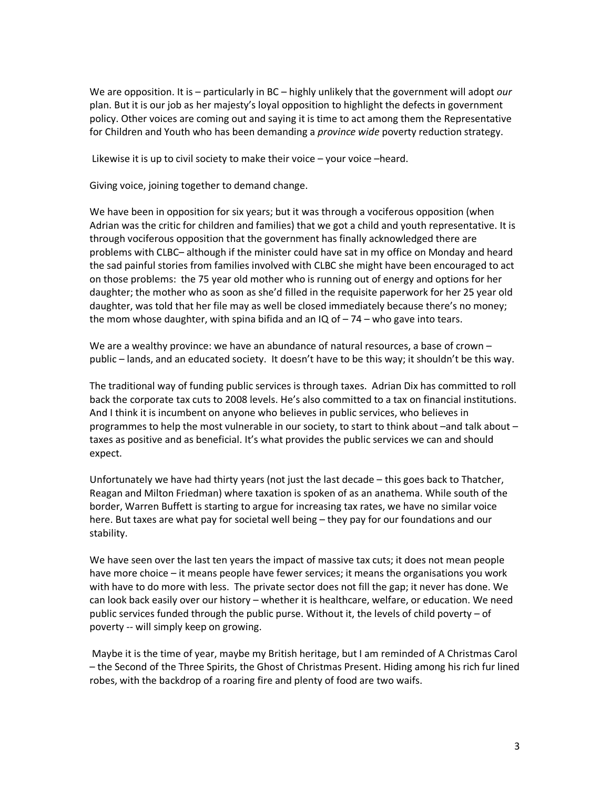We are opposition. It is – particularly in BC – highly unlikely that the government will adopt *our* plan. But it is our job as her majesty's loyal opposition to highlight the defects in government policy. Other voices are coming out and saying it is time to act among them the Representative for Children and Youth who has been demanding a *province wide* poverty reduction strategy.

Likewise it is up to civil society to make their voice – your voice –heard.

Giving voice, joining together to demand change.

We have been in opposition for six years; but it was through a vociferous opposition (when Adrian was the critic for children and families) that we got a child and youth representative. It is through vociferous opposition that the government has finally acknowledged there are problems with CLBC– although if the minister could have sat in my office on Monday and heard the sad painful stories from families involved with CLBC she might have been encouraged to act on those problems: the 75 year old mother who is running out of energy and options for her daughter; the mother who as soon as she'd filled in the requisite paperwork for her 25 year old daughter, was told that her file may as well be closed immediately because there's no money; the mom whose daughter, with spina bifida and an  $IQ$  of  $-74$  – who gave into tears.

We are a wealthy province: we have an abundance of natural resources, a base of crown public – lands, and an educated society. It doesn't have to be this way; it shouldn't be this way.

The traditional way of funding public services is through taxes. Adrian Dix has committed to roll back the corporate tax cuts to 2008 levels. He's also committed to a tax on financial institutions. And I think it is incumbent on anyone who believes in public services, who believes in programmes to help the most vulnerable in our society, to start to think about -and talk about taxes as positive and as beneficial. It's what provides the public services we can and should expect.

Unfortunately we have had thirty years (not just the last decade – this goes back to Thatcher, Reagan and Milton Friedman) where taxation is spoken of as an anathema. While south of the border, Warren Buffett is starting to argue for increasing tax rates, we have no similar voice here. But taxes are what pay for societal well being – they pay for our foundations and our stability.

We have seen over the last ten years the impact of massive tax cuts; it does not mean people have more choice – it means people have fewer services; it means the organisations you work with have to do more with less. The private sector does not fill the gap; it never has done. We can look back easily over our history – whether it is healthcare, welfare, or education. We need public services funded through the public purse. Without it, the levels of child poverty – of poverty -- will simply keep on growing.

 Maybe it is the time of year, maybe my British heritage, but I am reminded of A Christmas Carol – the Second of the Three Spirits, the Ghost of Christmas Present. Hiding among his rich fur lined robes, with the backdrop of a roaring fire and plenty of food are two waifs.